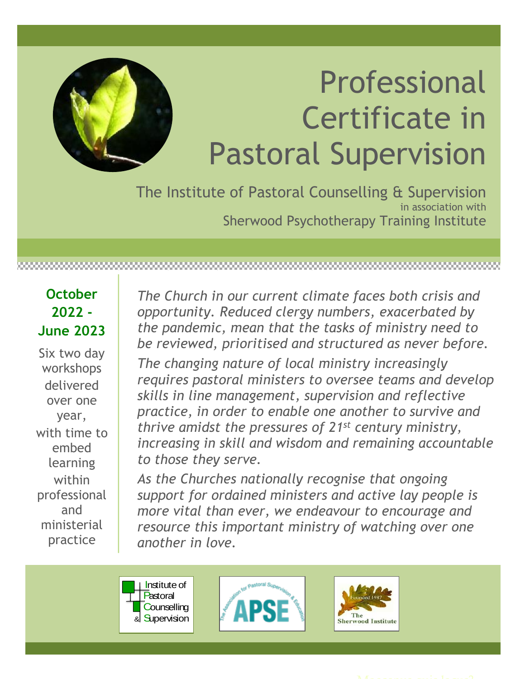

# Professional Certificate in Pastoral Supervision

The Institute of Pastoral Counselling & Supervision in association with Sherwood Psychotherapy Training Institute

**October 2022 - June 2023**

Six two day workshops delivered over one year, with time to embed learning within professional and ministerial practice

*The Church in our current climate faces both crisis and opportunity. Reduced clergy numbers, exacerbated by the pandemic, mean that the tasks of ministry need to be reviewed, prioritised and structured as never before.*

*The changing nature of local ministry increasingly requires pastoral ministers to oversee teams and develop skills in line management, supervision and reflective practice, in order to enable one another to survive and thrive amidst the pressures of 21st century ministry, increasing in skill and wisdom and remaining accountable to those they serve.* 

*As the Churches nationally recognise that ongoing support for ordained ministers and active lay people is more vital than ever, we endeavour to encourage and resource this important ministry of watching over one another in love.*





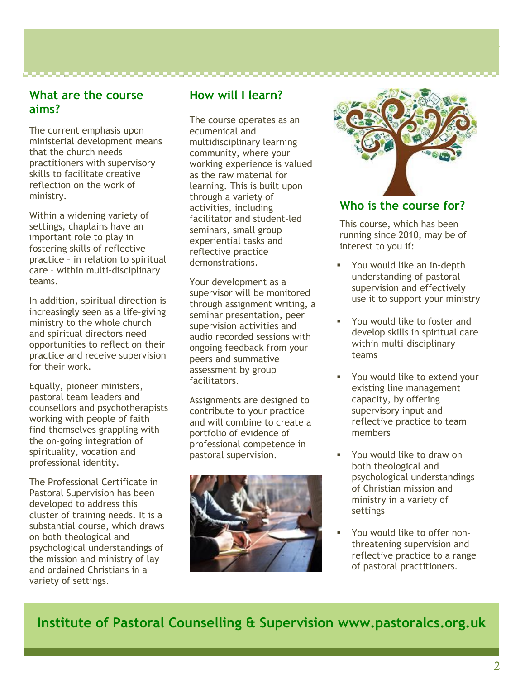#### **What are the course aims?**

The current emphasis upon ministerial development means that the church needs practitioners with supervisory skills to facilitate creative reflection on the work of ministry.

Within a widening variety of settings, chaplains have an important role to play in fostering skills of reflective practice – in relation to spiritual care – within multi-disciplinary teams.

In addition, spiritual direction is increasingly seen as a life-giving ministry to the whole church and spiritual directors need opportunities to reflect on their practice and receive supervision for their work.

Equally, pioneer ministers, pastoral team leaders and counsellors and psychotherapists working with people of faith find themselves grappling with the on-going integration of spirituality, vocation and professional identity.

The Professional Certificate in Pastoral Supervision has been developed to address this cluster of training needs. It is a substantial course, which draws on both theological and psychological understandings of the mission and ministry of lay and ordained Christians in a variety of settings.

## **How will I learn?**

The course operates as an ecumenical and multidisciplinary learning community, where your working experience is valued as the raw material for learning. This is built upon through a variety of activities, including facilitator and student-led seminars, small group experiential tasks and reflective practice demonstrations.

Your development as a supervisor will be monitored through assignment writing, a seminar presentation, peer supervision activities and audio recorded sessions with ongoing feedback from your peers and summative assessment by group facilitators.

Assignments are designed to contribute to your practice and will combine to create a portfolio of evidence of professional competence in pastoral supervision.





### **Who is the course for?**

This course, which has been running since 2010, may be of interest to you if:

- You would like an in-depth understanding of pastoral supervision and effectively use it to support your ministry
- You would like to foster and develop skills in spiritual care within multi-disciplinary teams
- You would like to extend your existing line management capacity, by offering supervisory input and reflective practice to team members
- You would like to draw on both theological and psychological understandings of Christian mission and ministry in a variety of settings
- You would like to offer nonthreatening supervision and reflective practice to a range of pastoral practitioners.

**Institute of Pastoral Counselling & Supervision www.pastoralcs.org.uk**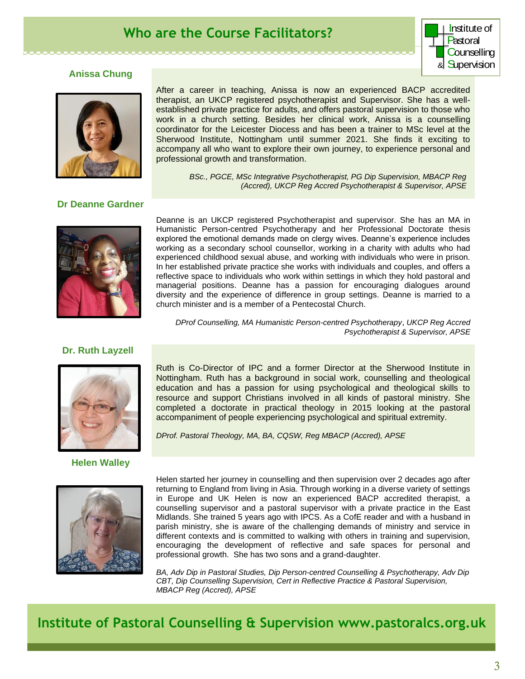# **Who are the Course Facilitators?**



#### **Anissa Chung**



After a career in teaching, Anissa is now an experienced BACP accredited therapist, an UKCP registered psychotherapist and Supervisor. She has a wellestablished private practice for adults, and offers pastoral supervision to those who work in a church setting. Besides her clinical work, Anissa is a counselling coordinator for the Leicester Diocess and has been a trainer to MSc level at the Sherwood Institute, Nottingham until summer 2021. She finds it exciting to accompany all who want to explore their own journey, to experience personal and professional growth and transformation.

> *BSc., PGCE, MSc Integrative Psychotherapist, PG Dip Supervision, MBACP Reg (Accred), UKCP Reg Accred Psychotherapist & Supervisor, APSE*

#### **Dr Deanne Gardner**



Deanne is an UKCP registered Psychotherapist and supervisor. She has an MA in Humanistic Person-centred Psychotherapy and her Professional Doctorate thesis explored the emotional demands made on clergy wives. Deanne's experience includes working as a secondary school counsellor, working in a charity with adults who had experienced childhood sexual abuse, and working with individuals who were in prison. In her established private practice she works with individuals and couples, and offers a reflective space to individuals who work within settings in which they hold pastoral and managerial positions. Deanne has a passion for encouraging dialogues around diversity and the experience of difference in group settings. Deanne is married to a church minister and is a member of a Pentecostal Church.

*DProf Counselling, MA Humanistic Person-centred Psychotherapy*, *UKCP Reg Accred Psychotherapist & Supervisor, APSE*

#### **Dr. Ruth Layzell**



**Helen Walley**



Ruth is Co-Director of IPC and a former Director at the Sherwood Institute in Nottingham. Ruth has a background in social work, counselling and theological education and has a passion for using psychological and theological skills to resource and support Christians involved in all kinds of pastoral ministry. She completed a doctorate in practical theology in 2015 looking at the pastoral accompaniment of people experiencing psychological and spiritual extremity.

*DProf. Pastoral Theology, MA, BA, CQSW, Reg MBACP (Accred), APSE*

Helen started her journey in counselling and then supervision over 2 decades ago after returning to England from living in Asia. Through working in a diverse variety of settings in Europe and UK Helen is now an experienced BACP accredited therapist, a counselling supervisor and a pastoral supervisor with a private practice in the East Midlands. She trained 5 years ago with IPCS. As a CofE reader and with a husband in parish ministry, she is aware of the challenging demands of ministry and service in different contexts and is committed to walking with others in training and supervision, encouraging the development of reflective and safe spaces for personal and professional growth. She has two sons and a grand-daughter.

*BA, Adv Dip in Pastoral Studies, Dip Person-centred Counselling & Psychotherapy, Adv Dip CBT, Dip Counselling Supervision, Cert in Reflective Practice & Pastoral Supervision, MBACP Reg (Accred), APSE* 

**Institute of Pastoral Counselling & Supervision www.pastoralcs.org.uk**